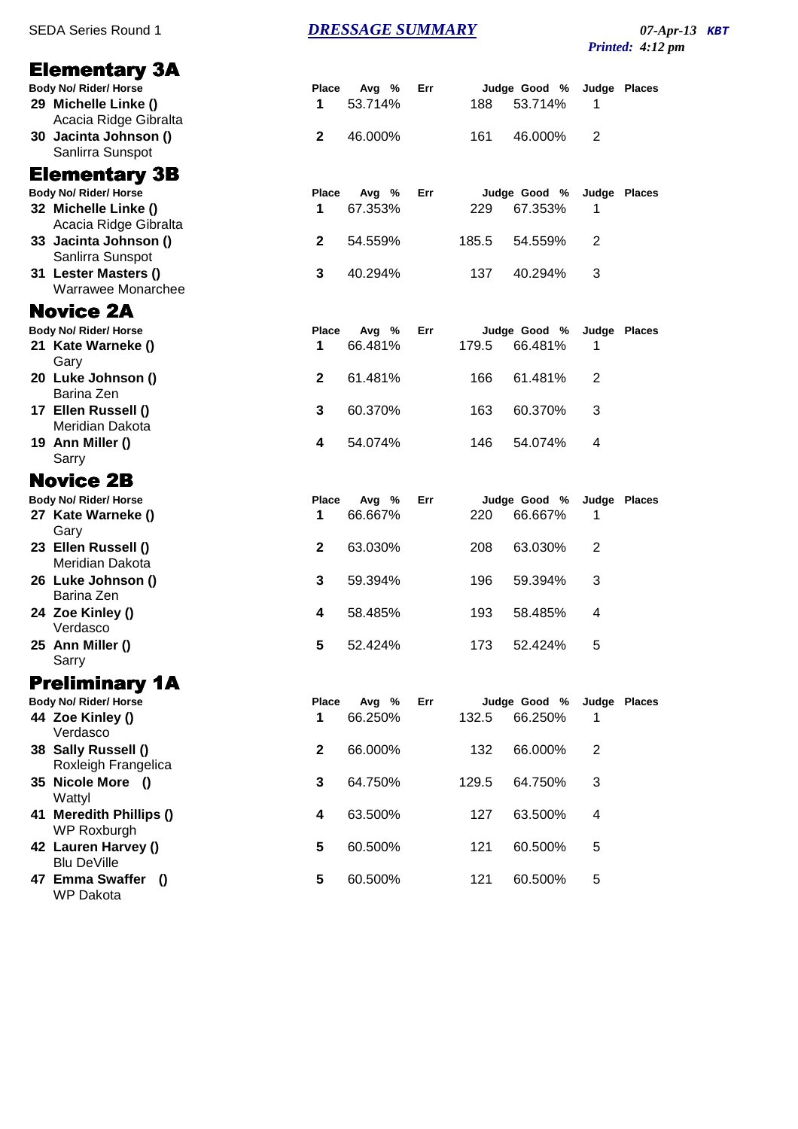## Elementary 3A

| Body No/ Rider/ Horse                                                           | Place | Ava % Err                          |        | Judge Good % Jud                   |                         |
|---------------------------------------------------------------------------------|-------|------------------------------------|--------|------------------------------------|-------------------------|
| 29 Michelle Linke ()                                                            |       | 53.714%                            |        | 188 53.714%                        | $\overline{\mathbf{1}}$ |
| Acacia Ridge Gibralta                                                           |       |                                    |        |                                    |                         |
| $\bullet$ $\bullet$ $\bullet$ $\bullet$ $\bullet$ $\bullet$ $\bullet$ $\bullet$ |       | $\sim$ $\sim$ $\sim$ $\sim$ $\sim$ | $\sim$ | $\sim$ $\sim$ $\sim$ $\sim$ $\sim$ | $\sim$                  |

**30 Jacinta Johnson ()** Sanlirra Sunspot

## Elementary 3B

**Body No/ Rider/ Horse 32 Michelle Linke ()** Acacia Ridge Gibralta **33 Jacinta Johnson ()** 

- Sanlirra Sunspot **31 Lester Masters ()**
- Warrawee Monarchee

# Novice 2A

**Body No/ Rider/ Horse** 

- **21 Kate Warneke ()** Gary **20 Luke Johnson ()**
- Barina Zen **17 Ellen Russell ()**
- Meridian Dakota **19 Ann Miller () 4** 54.074% 146 54.074% 4

#### Sarry Novice 2B

**Body No/ Rider/ Horse Place Avg % Err Judge Good % Judge Places**

- **27 Kate Warneke () 1** 66.667% 220 66.667% 1 Gary **23 Ellen Russell () 2** 63.030% 208 63.030% 2 Meridian Dakota
- **26 Luke Johnson () 3** 59.394% 196 59.394% 3 Barina Zen
- **24 Zoe Kinley () 4** 58.485% 193 58.485% 4 Verdasco
- **25 Ann Miller () 5** 52.424% 173 52.424% 5 Sarry

# Preliminary 1A

| <b>Body No/ Rider/ Horse</b>               |              | Place | Avg %   | Err |       | Judge Good % | Judge Places |  |
|--------------------------------------------|--------------|-------|---------|-----|-------|--------------|--------------|--|
| 44 Zoe Kinley ()<br>Verdasco               |              | 1     | 66.250% |     | 132.5 | 66.250%      |              |  |
| 38 Sally Russell ()<br>Roxleigh Frangelica |              | 2     | 66.000% |     | 132   | 66.000%      | 2            |  |
| 35 Nicole More ()<br>Wattyl                |              | 3     | 64.750% |     | 129.5 | 64.750%      | 3            |  |
| 41 Meredith Phillips ()<br>WP Roxburgh     |              | 4     | 63.500% |     | 127   | 63.500%      | 4            |  |
| 42 Lauren Harvey ()<br><b>Blu DeVille</b>  |              | 5     | 60.500% |     | 121   | 60.500%      | 5            |  |
| 47 Emma Swaffer<br><b>WP</b> Dakota        | $\bullet$ () | 5     | 60.500% |     | 121   | 60.500%      | 5            |  |

SEDA Series Round 1 **DRESSAGE SUMMARY** 07-Apr-13 **KBT** 

*Printed: 4:12 pm*

|           | 2 46.000%                  |      | 161 46.000% 2                        |   |  |
|-----------|----------------------------|------|--------------------------------------|---|--|
| 1.        | Place Avg % Err<br>67.353% | 229  | Judge Good % Judge Places<br>67.353% | 1 |  |
|           | 2 54.559%                  |      | 185.5 54.559%                        | 2 |  |
| 3         | 40.294%                    |      | 137 40.294%                          | 3 |  |
|           | Place Avg % Err            |      | Judge Good % Judge Places            |   |  |
| $1 \quad$ | 66.481%                    |      | 179.5 66.481% 1                      |   |  |
|           | 2 61.481%                  |      | 166 61.481%                          | 2 |  |
| 3         | 60.370%                    | 163. | 60.370%                              | 3 |  |

**Body No/ Rider/ Horse Place Avg % Err Judge Good % Judge Places**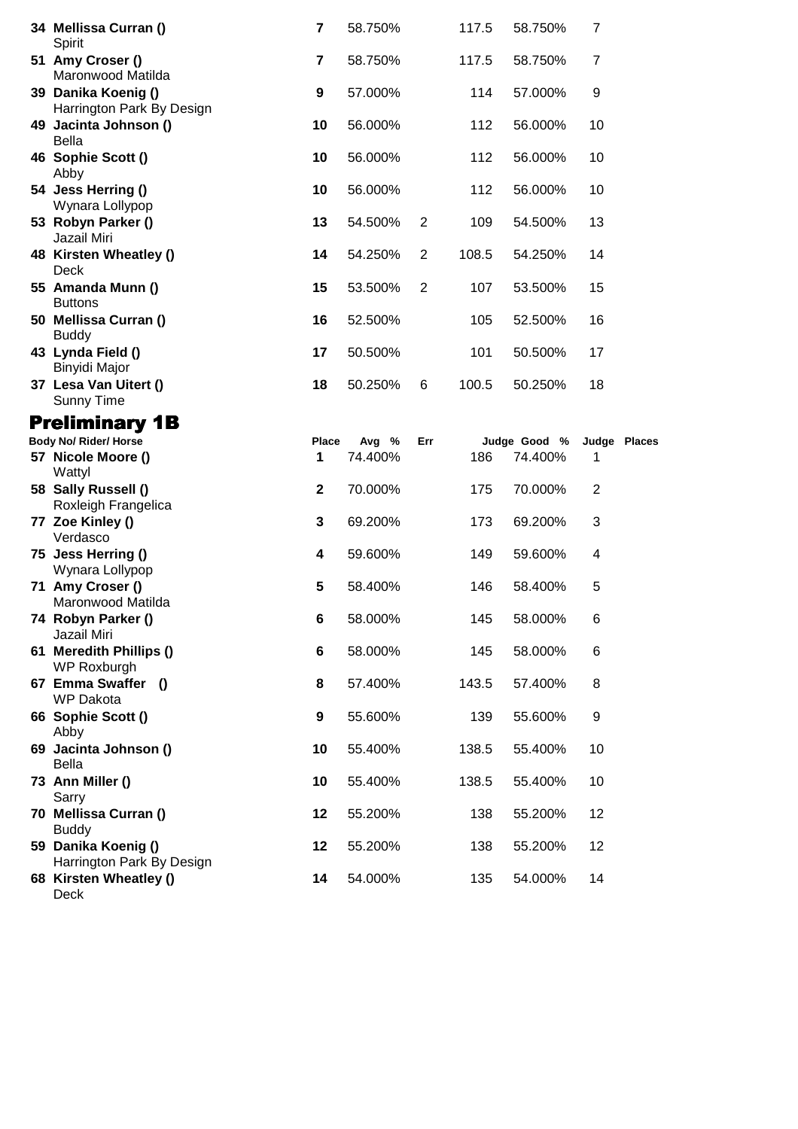| 34 Mellissa Curran ()<br>Spirit                                  | $\overline{\mathbf{r}}$ | 58.750%          |                | 117.5 | 58.750%                 | $\overline{7}$ |              |
|------------------------------------------------------------------|-------------------------|------------------|----------------|-------|-------------------------|----------------|--------------|
| 51 Amy Croser ()<br>Maronwood Matilda                            | $\overline{\mathbf{7}}$ | 58.750%          |                | 117.5 | 58.750%                 | $\overline{7}$ |              |
| 39 Danika Koenig ()<br>Harrington Park By Design                 | $\boldsymbol{9}$        | 57.000%          |                | 114   | 57.000%                 | 9              |              |
| 49 Jacinta Johnson ()<br><b>Bella</b>                            | 10                      | 56.000%          |                | 112   | 56.000%                 | 10             |              |
| 46 Sophie Scott ()                                               | 10                      | 56.000%          |                | 112   | 56.000%                 | 10             |              |
| Abby<br>54 Jess Herring ()<br>Wynara Lollypop                    | 10                      | 56.000%          |                | 112   | 56.000%                 | 10             |              |
| 53 Robyn Parker ()<br>Jazail Miri                                | 13                      | 54.500%          | $\overline{2}$ | 109   | 54.500%                 | 13             |              |
| 48 Kirsten Wheatley ()<br>Deck                                   | 14                      | 54.250%          | 2              | 108.5 | 54.250%                 | 14             |              |
| 55 Amanda Munn ()<br><b>Buttons</b>                              | 15                      | 53.500%          | 2              | 107   | 53.500%                 | 15             |              |
| 50 Mellissa Curran ()<br><b>Buddy</b>                            | 16                      | 52.500%          |                | 105   | 52.500%                 | 16             |              |
| 43 Lynda Field ()<br>Binyidi Major                               | 17                      | 50.500%          |                | 101   | 50.500%                 | 17             |              |
| 37 Lesa Van Uitert ()<br><b>Sunny Time</b>                       | 18                      | 50.250%          | 6              | 100.5 | 50.250%                 | 18             |              |
| <b>Preliminary 1B</b>                                            |                         |                  |                |       |                         |                |              |
| <b>Body No/ Rider/ Horse</b><br>57 Nicole Moore ()<br>Wattyl     | Place<br>1              | Avg %<br>74.400% | Err            | 186   | Judge Good %<br>74.400% | 1              | Judge Places |
| 58 Sally Russell ()<br>Roxleigh Frangelica                       | $\mathbf 2$             | 70.000%          |                | 175   | 70.000%                 | 2              |              |
|                                                                  | 3                       | 69.200%          |                |       |                         | 3              |              |
| 77 Zoe Kinley ()                                                 |                         |                  |                | 173   | 69.200%                 |                |              |
| Verdasco<br>75 Jess Herring ()                                   | 4                       | 59.600%          |                | 149   | 59.600%                 | 4              |              |
| Wynara Lollypop<br>71 Amy Croser ()                              | 5                       | 58.400%          |                | 146   | 58.400%                 | 5              |              |
| Maronwood Matilda<br>74 Robyn Parker ()                          | 6                       | 58.000%          |                | 145   | 58.000%                 | 6              |              |
| Jazail Miri<br>61 Meredith Phillips ()                           | 6                       | 58.000%          |                | 145   | 58.000%                 | 6              |              |
| WP Roxburgh<br>67 Emma Swaffer ()                                | 8                       | 57.400%          |                | 143.5 | 57.400%                 | 8              |              |
| <b>WP Dakota</b><br>66 Sophie Scott ()                           | 9                       | 55.600%          |                | 139   | 55.600%                 | 9              |              |
| Abby<br>69 Jacinta Johnson ()                                    | 10                      | 55.400%          |                | 138.5 | 55.400%                 | 10             |              |
| <b>Bella</b><br>73 Ann Miller ()                                 | 10                      | 55.400%          |                | 138.5 | 55.400%                 | 10             |              |
| Sarry<br>70 Mellissa Curran ()                                   | 12                      | 55.200%          |                | 138   | 55.200%                 | 12             |              |
| <b>Buddy</b><br>59 Danika Koenig ()<br>Harrington Park By Design | 12                      | 55.200%          |                | 138   | 55.200%                 | 12             |              |